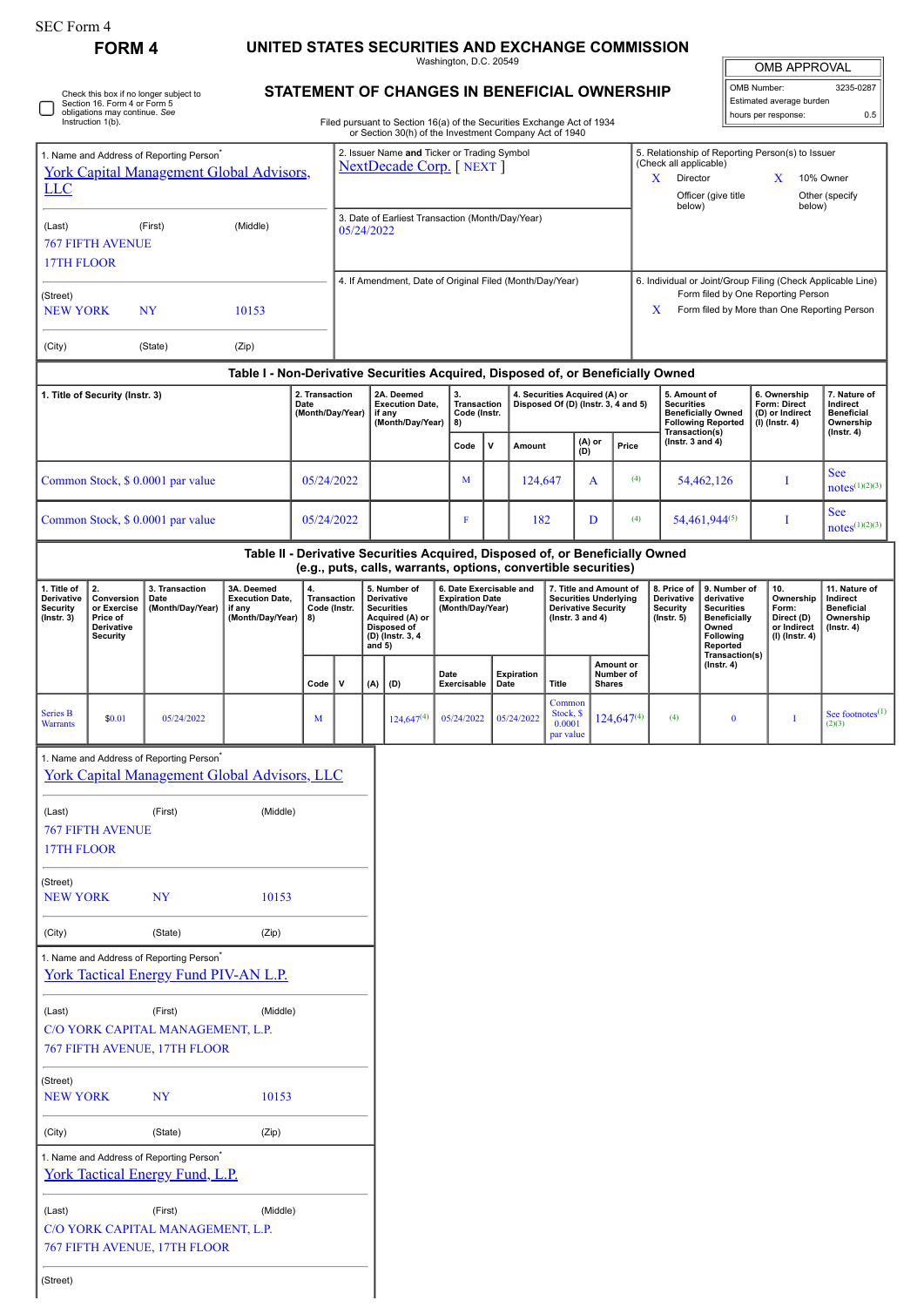# **FORM 4 UNITED STATES SECURITIES AND EXCHANGE COMMISSION**

Washington, D.C. 20549

| <b>OMB APPROVAL</b>      |           |  |  |  |  |
|--------------------------|-----------|--|--|--|--|
| OMB Number:              | 3235-0287 |  |  |  |  |
| Estimated average burden |           |  |  |  |  |

hours per response: 0.5

|  | Check this box if no longer subject to<br>Section 16. Form 4 or Form 5<br>obligations may continue. See<br>Instruction 1(b). |
|--|------------------------------------------------------------------------------------------------------------------------------|
|--|------------------------------------------------------------------------------------------------------------------------------|

#### **STATEMENT OF CHANGES IN BENEFICIAL OWNERSHIP**

Filed pursuant to Section 16(a) of the Securities Exchange Act of 1934 or Section 30(h) of the Investment Company Act of 1940

| <b>LLC</b>                                                       |                                                                              | 1. Name and Address of Reporting Person <sup>®</sup>                                                        | <b>York Capital Management Global Advisors,</b>                                  |                                            |                                                                |     | 2. Issuer Name and Ticker or Trading Symbol<br><b>NextDecade Corp.</b> [NEXT ]                                 |      |                                                                       |         |                   |                                                                                                                                                        |   | (Check all applicable)<br>Director<br>X<br>below) | Officer (give title |                                                                  | 5. Relationship of Reporting Person(s) to Issuer<br>X<br>below)                                                 | 10% Owner<br>Other (specify |                                                                          |                                                                                 |
|------------------------------------------------------------------|------------------------------------------------------------------------------|-------------------------------------------------------------------------------------------------------------|----------------------------------------------------------------------------------|--------------------------------------------|----------------------------------------------------------------|-----|----------------------------------------------------------------------------------------------------------------|------|-----------------------------------------------------------------------|---------|-------------------|--------------------------------------------------------------------------------------------------------------------------------------------------------|---|---------------------------------------------------|---------------------|------------------------------------------------------------------|-----------------------------------------------------------------------------------------------------------------|-----------------------------|--------------------------------------------------------------------------|---------------------------------------------------------------------------------|
| (Last)<br>17TH FLOOR                                             | <b>767 FIFTH AVENUE</b>                                                      | (First)                                                                                                     | (Middle)                                                                         |                                            | 3. Date of Earliest Transaction (Month/Day/Year)<br>05/24/2022 |     |                                                                                                                |      |                                                                       |         |                   |                                                                                                                                                        |   |                                                   |                     |                                                                  |                                                                                                                 |                             |                                                                          |                                                                                 |
| (Street)<br><b>NEW YORK</b>                                      |                                                                              | NY                                                                                                          | 10153                                                                            |                                            | 4. If Amendment, Date of Original Filed (Month/Day/Year)       |     |                                                                                                                |      |                                                                       |         |                   | 6. Individual or Joint/Group Filing (Check Applicable Line)<br>Form filed by One Reporting Person<br>Form filed by More than One Reporting Person<br>X |   |                                                   |                     |                                                                  |                                                                                                                 |                             |                                                                          |                                                                                 |
| (City)                                                           |                                                                              | (State)                                                                                                     | (Zip)                                                                            |                                            |                                                                |     |                                                                                                                |      |                                                                       |         |                   |                                                                                                                                                        |   |                                                   |                     |                                                                  |                                                                                                                 |                             |                                                                          |                                                                                 |
|                                                                  |                                                                              |                                                                                                             | Table I - Non-Derivative Securities Acquired, Disposed of, or Beneficially Owned |                                            |                                                                |     |                                                                                                                |      |                                                                       |         |                   |                                                                                                                                                        |   |                                                   |                     |                                                                  |                                                                                                                 |                             |                                                                          |                                                                                 |
|                                                                  | 1. Title of Security (Instr. 3)                                              |                                                                                                             |                                                                                  | 2. Transaction<br>Date<br>(Month/Day/Year) |                                                                |     | 2A. Deemed<br><b>Execution Date,</b><br>if any<br>(Month/Day/Year)                                             |      | 3.<br>Transaction<br>Code (Instr.<br>8)                               |         |                   | 4. Securities Acquired (A) or<br>Disposed Of (D) (Instr. 3, 4 and 5)                                                                                   |   |                                                   |                     | 5. Amount of<br><b>Securities</b><br>Transaction(s)              | <b>Beneficially Owned</b><br><b>Following Reported</b>                                                          |                             | 6. Ownership<br>Form: Direct<br>(D) or Indirect<br>$(I)$ (Instr. 4)      | 7. Nature of<br>Indirect<br><b>Beneficial</b><br>Ownership<br>$($ lnstr. 4 $)$  |
|                                                                  |                                                                              |                                                                                                             |                                                                                  |                                            |                                                                |     |                                                                                                                |      | Code                                                                  | V       | Amount            | (A) or<br>(D)                                                                                                                                          |   |                                                   | Price               | (Instr. 3 and 4)                                                 |                                                                                                                 |                             |                                                                          |                                                                                 |
|                                                                  |                                                                              | Common Stock, \$ 0.0001 par value                                                                           |                                                                                  | 05/24/2022                                 |                                                                |     |                                                                                                                | M    |                                                                       | 124,647 | A                 |                                                                                                                                                        |   | (4)                                               | 54,462,126          |                                                                  | I                                                                                                               |                             | <b>See</b><br>$notes^{(1)(2)(3)}$                                        |                                                                                 |
|                                                                  |                                                                              | Common Stock, \$ 0.0001 par value                                                                           |                                                                                  | 05/24/2022                                 |                                                                |     |                                                                                                                |      | F                                                                     |         | 182               |                                                                                                                                                        | D |                                                   | (4)                 |                                                                  | 54,461,944(5)                                                                                                   |                             | I                                                                        | <b>See</b><br>$notes^{(1)(2)(3)}$                                               |
|                                                                  |                                                                              |                                                                                                             | Table II - Derivative Securities Acquired, Disposed of, or Beneficially Owned    |                                            |                                                                |     | (e.g., puts, calls, warrants, options, convertible securities)                                                 |      |                                                                       |         |                   |                                                                                                                                                        |   |                                                   |                     |                                                                  |                                                                                                                 |                             |                                                                          |                                                                                 |
| 1. Title of<br>Derivative<br><b>Security</b><br>$($ Instr. 3 $)$ | 2.<br>Conversion<br>or Exercise<br>Price of<br>Derivative<br><b>Security</b> | 3. Transaction<br>Date<br>(Month/Day/Year)                                                                  | 3A. Deemed<br><b>Execution Date,</b><br>if any<br>(Month/Day/Year)               | 4.<br>8)                                   | Transaction<br>Code (Instr.                                    |     | 5. Number of<br>Derivative<br><b>Securities</b><br>Acquired (A) or<br>Disposed of<br>$(D)$ (lnstr. 3, 4 and 5) |      | 6. Date Exercisable and<br><b>Expiration Date</b><br>(Month/Day/Year) |         |                   | 7. Title and Amount of<br><b>Securities Underlying</b><br><b>Derivative Security</b><br>( $lnstr. 3 and 4$ )                                           |   |                                                   |                     | 8. Price of<br>Derivative<br><b>Security</b><br>$($ Instr. 5 $)$ | 9. Number of<br>derivative<br><b>Securities</b><br><b>Beneficially</b><br>Owned<br><b>Following</b><br>Reported |                             | 10.<br>Ownership<br>Form:<br>Direct (D)<br>or Indirect<br>(I) (Instr. 4) | 11. Nature of<br>Indirect<br><b>Beneficial</b><br>Ownership<br>$($ Instr. 4 $)$ |
|                                                                  |                                                                              |                                                                                                             |                                                                                  | Code                                       | V                                                              | (A) | (D)                                                                                                            | Date | Exercisable                                                           | Date    | <b>Expiration</b> | Title                                                                                                                                                  |   | Amount or<br>Number of<br><b>Shares</b>           |                     | Transaction(s)<br>$($ Instr. 4 $)$                               |                                                                                                                 |                             |                                                                          |                                                                                 |
| Series B<br><b>Warrants</b>                                      | \$0.01                                                                       | 05/24/2022                                                                                                  |                                                                                  | M                                          |                                                                |     | $124,647^{(4)}$                                                                                                |      | 05/24/2022                                                            |         | 05/24/2022        | Common<br>Stock, \$<br>0.0001<br>par value                                                                                                             |   | $124,647^{(4)}$                                   |                     | (4)                                                              | $\bf{0}$                                                                                                        |                             | $\mathbf I$                                                              | See footnotes $^{(1)}$<br>(2)(3)                                                |
|                                                                  |                                                                              | 1. Name and Address of Reporting Person <sup>®</sup><br><b>York Capital Management Global Advisors, LLC</b> |                                                                                  |                                            |                                                                |     |                                                                                                                |      |                                                                       |         |                   |                                                                                                                                                        |   |                                                   |                     |                                                                  |                                                                                                                 |                             |                                                                          |                                                                                 |
| (Last)<br>17TH FLOOR                                             | <b>767 FIFTH AVENUE</b>                                                      | (First)                                                                                                     | (Middle)                                                                         |                                            |                                                                |     |                                                                                                                |      |                                                                       |         |                   |                                                                                                                                                        |   |                                                   |                     |                                                                  |                                                                                                                 |                             |                                                                          |                                                                                 |
| (Street)<br><b>NEW YORK</b>                                      |                                                                              | <b>NY</b>                                                                                                   | 10153                                                                            |                                            |                                                                |     |                                                                                                                |      |                                                                       |         |                   |                                                                                                                                                        |   |                                                   |                     |                                                                  |                                                                                                                 |                             |                                                                          |                                                                                 |
| (City)                                                           |                                                                              | (State)                                                                                                     | (Zip)                                                                            |                                            |                                                                |     |                                                                                                                |      |                                                                       |         |                   |                                                                                                                                                        |   |                                                   |                     |                                                                  |                                                                                                                 |                             |                                                                          |                                                                                 |
|                                                                  |                                                                              | 1. Name and Address of Reporting Person <sup>*</sup><br><b>York Tactical Energy Fund PIV-AN L.P.</b>        |                                                                                  |                                            |                                                                |     |                                                                                                                |      |                                                                       |         |                   |                                                                                                                                                        |   |                                                   |                     |                                                                  |                                                                                                                 |                             |                                                                          |                                                                                 |
| (Last)                                                           |                                                                              | (First)<br>C/O YORK CAPITAL MANAGEMENT, L.P.                                                                | (Middle)                                                                         |                                            |                                                                |     |                                                                                                                |      |                                                                       |         |                   |                                                                                                                                                        |   |                                                   |                     |                                                                  |                                                                                                                 |                             |                                                                          |                                                                                 |
|                                                                  |                                                                              | 767 FIFTH AVENUE, 17TH FLOOR                                                                                |                                                                                  |                                            |                                                                |     |                                                                                                                |      |                                                                       |         |                   |                                                                                                                                                        |   |                                                   |                     |                                                                  |                                                                                                                 |                             |                                                                          |                                                                                 |
| (Street)<br><b>NEW YORK</b>                                      |                                                                              | <b>NY</b>                                                                                                   | 10153                                                                            |                                            |                                                                |     |                                                                                                                |      |                                                                       |         |                   |                                                                                                                                                        |   |                                                   |                     |                                                                  |                                                                                                                 |                             |                                                                          |                                                                                 |
| (City)                                                           |                                                                              | (State)                                                                                                     | (Zip)                                                                            |                                            |                                                                |     |                                                                                                                |      |                                                                       |         |                   |                                                                                                                                                        |   |                                                   |                     |                                                                  |                                                                                                                 |                             |                                                                          |                                                                                 |
|                                                                  |                                                                              | 1. Name and Address of Reporting Person <sup>*</sup><br><b>York Tactical Energy Fund, L.P.</b>              |                                                                                  |                                            |                                                                |     |                                                                                                                |      |                                                                       |         |                   |                                                                                                                                                        |   |                                                   |                     |                                                                  |                                                                                                                 |                             |                                                                          |                                                                                 |
| (Last)                                                           |                                                                              | (First)<br>C/O YORK CAPITAL MANAGEMENT, L.P.<br>767 FIFTH AVENUE, 17TH FLOOR                                | (Middle)                                                                         |                                            |                                                                |     |                                                                                                                |      |                                                                       |         |                   |                                                                                                                                                        |   |                                                   |                     |                                                                  |                                                                                                                 |                             |                                                                          |                                                                                 |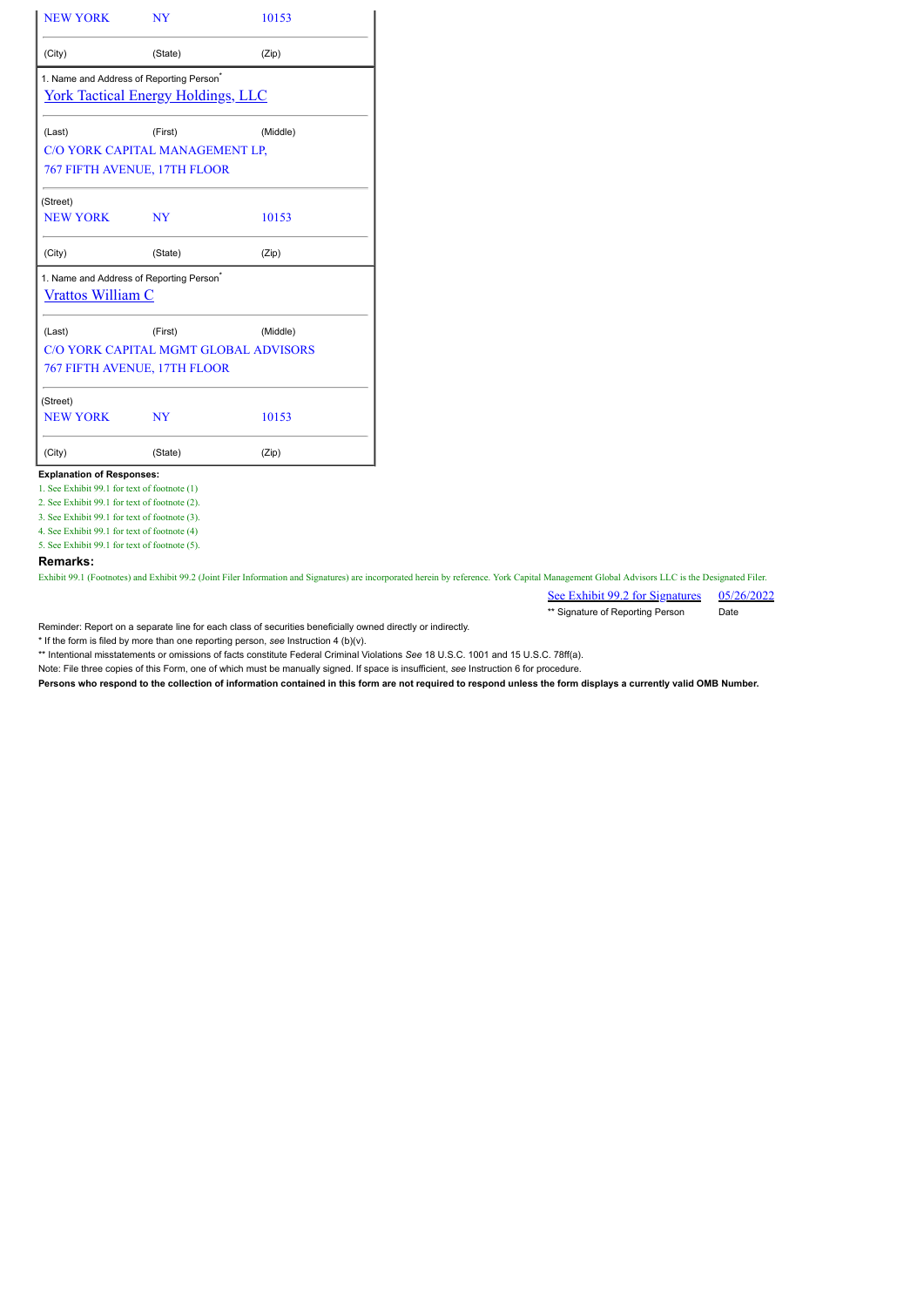| <b>NEW YORK</b>                                                                  | <b>NY</b>                                  | 10153    |  |  |  |  |
|----------------------------------------------------------------------------------|--------------------------------------------|----------|--|--|--|--|
| (City)                                                                           | (State)                                    | (Zip)    |  |  |  |  |
| 1. Name and Address of Reporting Person <sup>®</sup>                             |                                            |          |  |  |  |  |
|                                                                                  | <u> York Tactical Energy Holdings, LLC</u> |          |  |  |  |  |
| (Last)                                                                           | (First)                                    | (Middle) |  |  |  |  |
|                                                                                  | C/O YORK CAPITAL MANAGEMENT LP,            |          |  |  |  |  |
| 767 FIFTH AVENUE, 17TH FLOOR                                                     |                                            |          |  |  |  |  |
| (Street)                                                                         |                                            |          |  |  |  |  |
| <b>NEW YORK</b>                                                                  | <b>NY</b>                                  | 10153    |  |  |  |  |
| (City)                                                                           | (State)                                    | (Zip)    |  |  |  |  |
| 1. Name and Address of Reporting Person <sup>®</sup><br><b>Vrattos William C</b> |                                            |          |  |  |  |  |
| (Last)                                                                           | (First)                                    | (Middle) |  |  |  |  |
|                                                                                  | C/O YORK CAPITAL MGMT GLOBAL ADVISORS      |          |  |  |  |  |
| <b>767 FIFTH AVENUE, 17TH FLOOR</b>                                              |                                            |          |  |  |  |  |
| (Street)                                                                         |                                            |          |  |  |  |  |
| <b>NEW YORK</b>                                                                  | <b>NY</b>                                  | 10153    |  |  |  |  |
|                                                                                  | (State)                                    | (Zip)    |  |  |  |  |

#### **Explanation of Responses:**

1. See Exhibit 99.1 for text of footnote (1)

2. See Exhibit 99.1 for text of footnote (2).

3. See Exhibit 99.1 for text of footnote (3).

4. See Exhibit 99.1 for text of footnote (4) 5. See Exhibit 99.1 for text of footnote (5).

**Remarks:**

Exhibit 99.1 (Footnotes) and Exhibit 99.2 (Joint Filer Information and Signatures) are incorporated herein by reference. York Capital Management Global Advisors LLC is the Designated Filer.

See Exhibit 99.2 for Signatures 05/26/2022 \*\* Signature of Reporting Person Date

Reminder: Report on a separate line for each class of securities beneficially owned directly or indirectly.

\* If the form is filed by more than one reporting person, *see* Instruction 4 (b)(v).

\*\* Intentional misstatements or omissions of facts constitute Federal Criminal Violations *See* 18 U.S.C. 1001 and 15 U.S.C. 78ff(a).

Note: File three copies of this Form, one of which must be manually signed. If space is insufficient, *see* Instruction 6 for procedure.

**Persons who respond to the collection of information contained in this form are not required to respond unless the form displays a currently valid OMB Number.**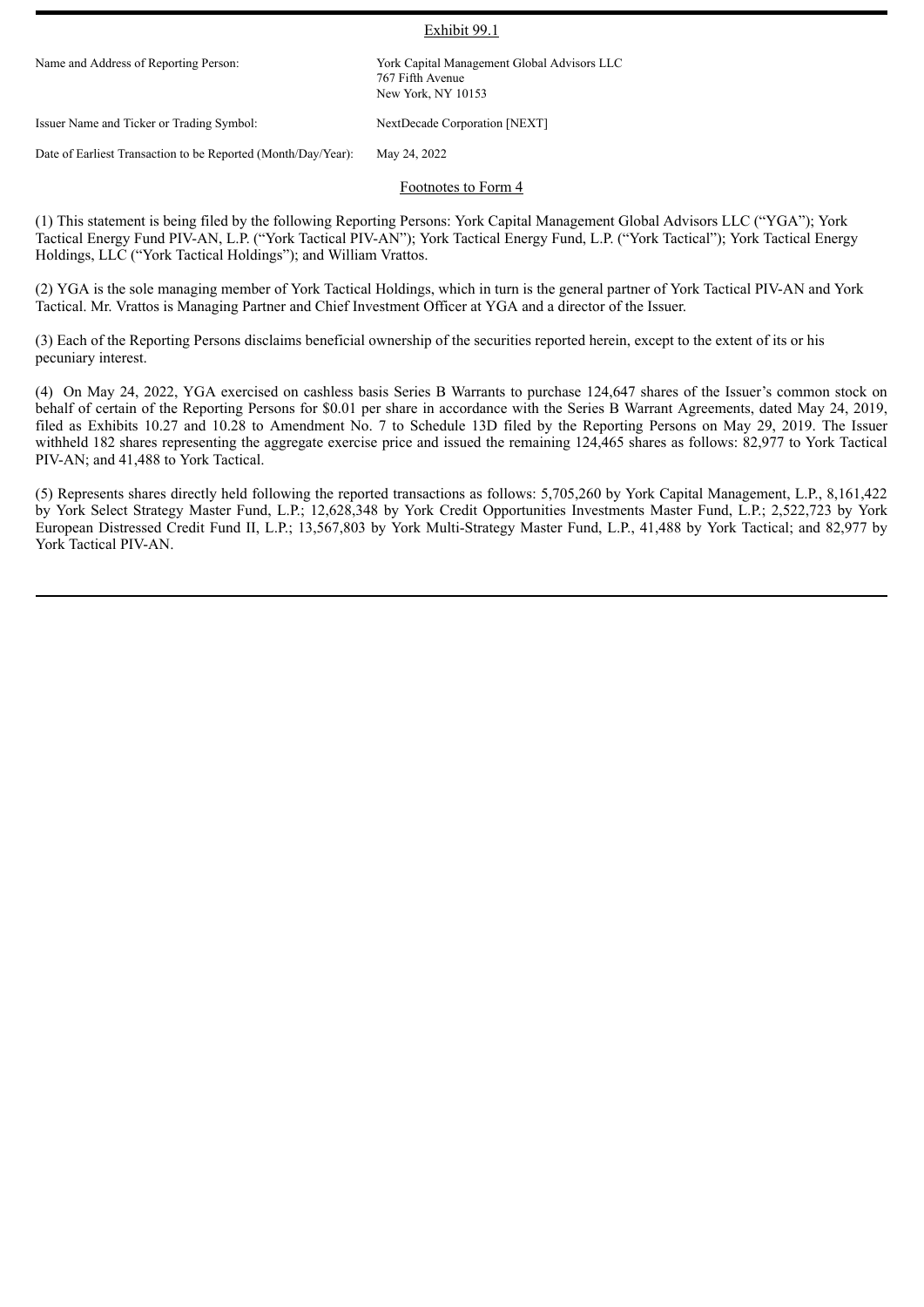#### Exhibit 99.1

Name and Address of Reporting Person: York Capital Management Global Advisors LLC 767 Fifth Avenue New York, NY 10153

Issuer Name and Ticker or Trading Symbol: NextDecade Corporation [NEXT]

Date of Earliest Transaction to be Reported (Month/Day/Year): May 24, 2022

#### Footnotes to Form 4

(1) This statement is being filed by the following Reporting Persons: York Capital Management Global Advisors LLC ("YGA"); York Tactical Energy Fund PIV-AN, L.P. ("York Tactical PIV-AN"); York Tactical Energy Fund, L.P. ("York Tactical"); York Tactical Energy Holdings, LLC ("York Tactical Holdings"); and William Vrattos.

(2) YGA is the sole managing member of York Tactical Holdings, which in turn is the general partner of York Tactical PIV-AN and York Tactical. Mr. Vrattos is Managing Partner and Chief Investment Officer at YGA and a director of the Issuer.

(3) Each of the Reporting Persons disclaims beneficial ownership of the securities reported herein, except to the extent of its or his pecuniary interest.

(4) On May 24, 2022, YGA exercised on cashless basis Series B Warrants to purchase 124,647 shares of the Issuer's common stock on behalf of certain of the Reporting Persons for \$0.01 per share in accordance with the Series B Warrant Agreements, dated May 24, 2019, filed as Exhibits 10.27 and 10.28 to Amendment No. 7 to Schedule 13D filed by the Reporting Persons on May 29, 2019. The Issuer withheld 182 shares representing the aggregate exercise price and issued the remaining 124,465 shares as follows: 82,977 to York Tactical PIV-AN; and 41,488 to York Tactical.

(5) Represents shares directly held following the reported transactions as follows: 5,705,260 by York Capital Management, L.P., 8,161,422 by York Select Strategy Master Fund, L.P.; 12,628,348 by York Credit Opportunities Investments Master Fund, L.P.; 2,522,723 by York European Distressed Credit Fund II, L.P.; 13,567,803 by York Multi-Strategy Master Fund, L.P., 41,488 by York Tactical; and 82,977 by York Tactical PIV-AN.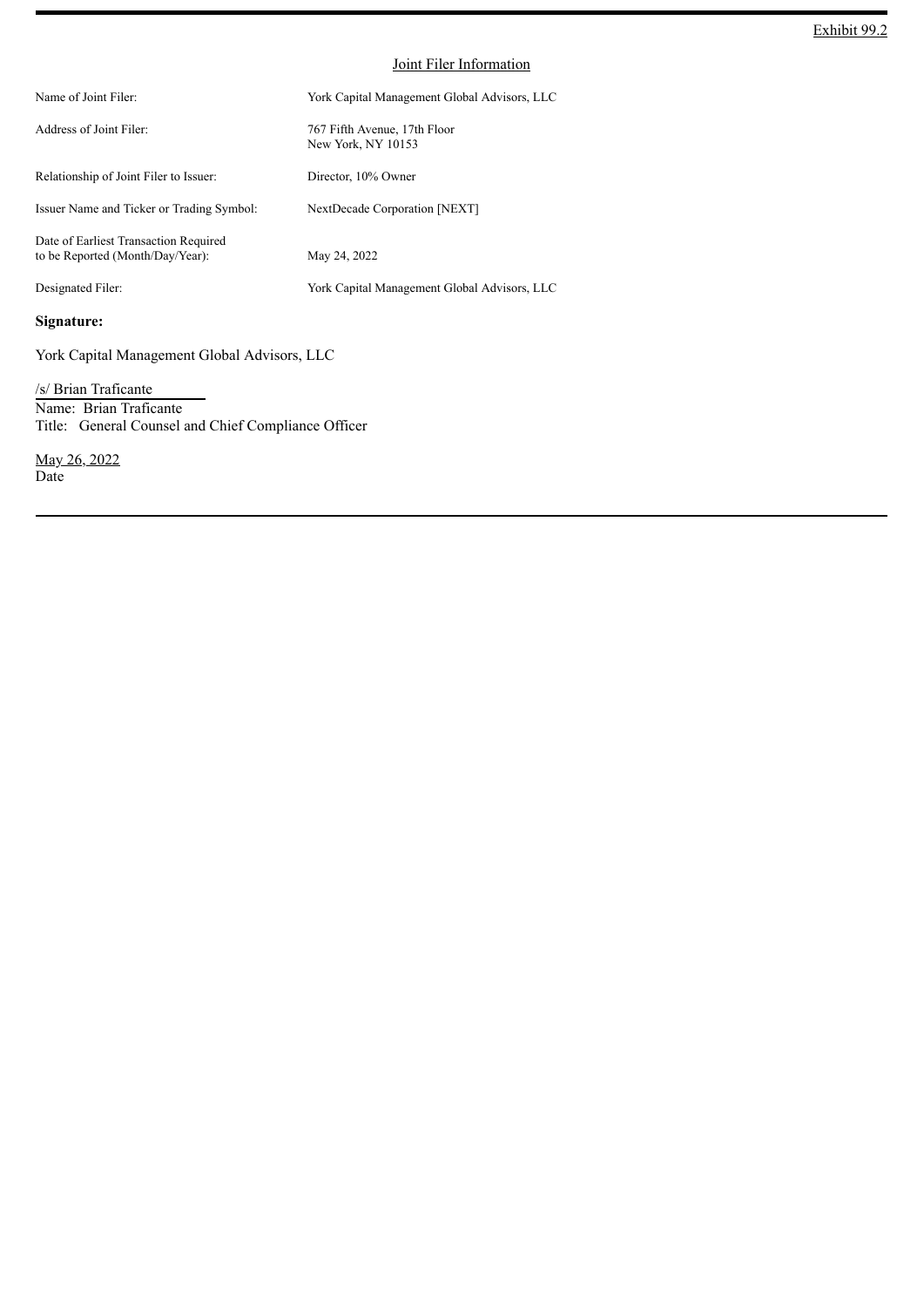| Name of Joint Filer:                                                      | York Capital Management Global Advisors, LLC       |
|---------------------------------------------------------------------------|----------------------------------------------------|
| Address of Joint Filer:                                                   | 767 Fifth Avenue, 17th Floor<br>New York, NY 10153 |
| Relationship of Joint Filer to Issuer:                                    | Director, 10% Owner                                |
| Issuer Name and Ticker or Trading Symbol:                                 | NextDecade Corporation [NEXT]                      |
| Date of Earliest Transaction Required<br>to be Reported (Month/Day/Year): | May 24, 2022                                       |
| Designated Filer:                                                         | York Capital Management Global Advisors, LLC       |

## **Signature:**

York Capital Management Global Advisors, LLC

/s/ Brian Traficante Name: Brian Traficante Title: General Counsel and Chief Compliance Officer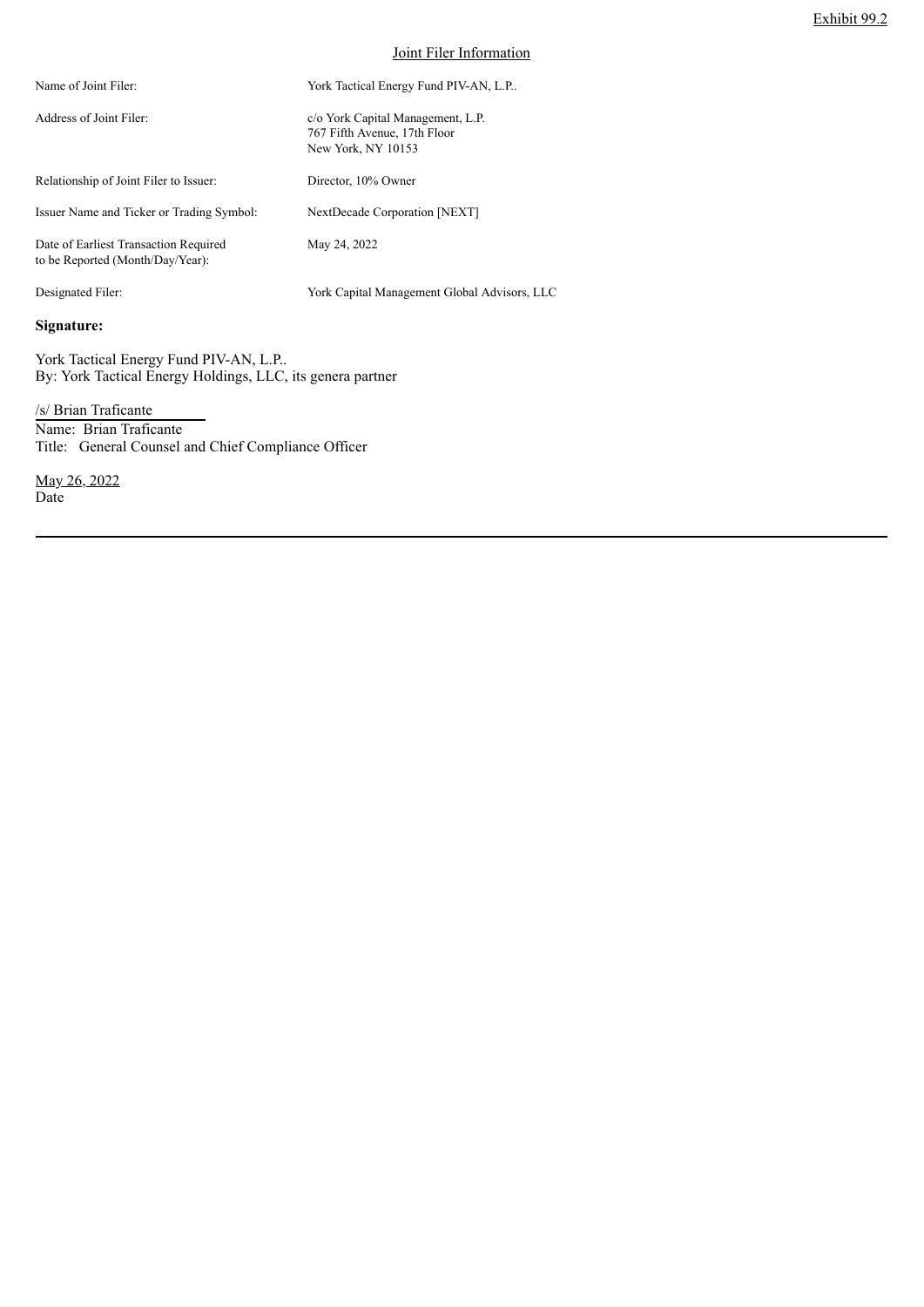| Name of Joint Filer:                                                      | York Tactical Energy Fund PIV-AN, L.P                                                   |
|---------------------------------------------------------------------------|-----------------------------------------------------------------------------------------|
| Address of Joint Filer:                                                   | c/o York Capital Management, L.P.<br>767 Fifth Avenue, 17th Floor<br>New York, NY 10153 |
| Relationship of Joint Filer to Issuer:                                    | Director, 10% Owner                                                                     |
| Issuer Name and Ticker or Trading Symbol:                                 | NextDecade Corporation [NEXT]                                                           |
| Date of Earliest Transaction Required<br>to be Reported (Month/Day/Year): | May 24, 2022                                                                            |
| Designated Filer:                                                         | York Capital Management Global Advisors, LLC                                            |

## **Signature:**

York Tactical Energy Fund PIV-AN, L.P.. By: York Tactical Energy Holdings, LLC, its genera partner

/s/ Brian Traficante Name: Brian Traficante Title: General Counsel and Chief Compliance Officer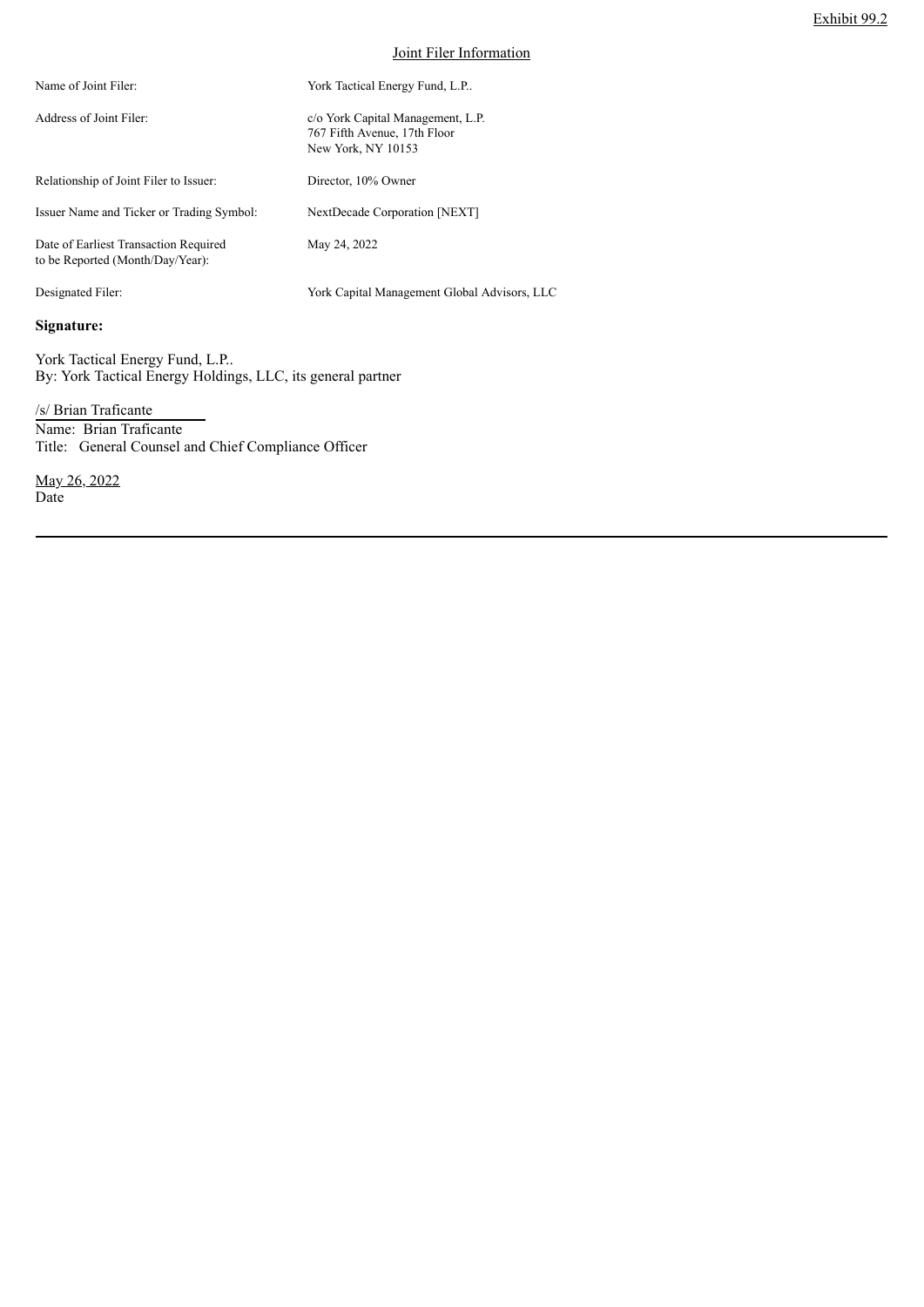| Name of Joint Filer:                                                      | York Tactical Energy Fund, L.P                                                          |
|---------------------------------------------------------------------------|-----------------------------------------------------------------------------------------|
| Address of Joint Filer:                                                   | c/o York Capital Management, L.P.<br>767 Fifth Avenue, 17th Floor<br>New York, NY 10153 |
| Relationship of Joint Filer to Issuer:                                    | Director, 10% Owner                                                                     |
| Issuer Name and Ticker or Trading Symbol:                                 | NextDecade Corporation [NEXT]                                                           |
| Date of Earliest Transaction Required<br>to be Reported (Month/Day/Year): | May 24, 2022                                                                            |
| Designated Filer:                                                         | York Capital Management Global Advisors, LLC                                            |

**Signature:**

York Tactical Energy Fund, L.P.. By: York Tactical Energy Holdings, LLC, its general partner

/s/ Brian Traficante Name: Brian Traficante Title: General Counsel and Chief Compliance Officer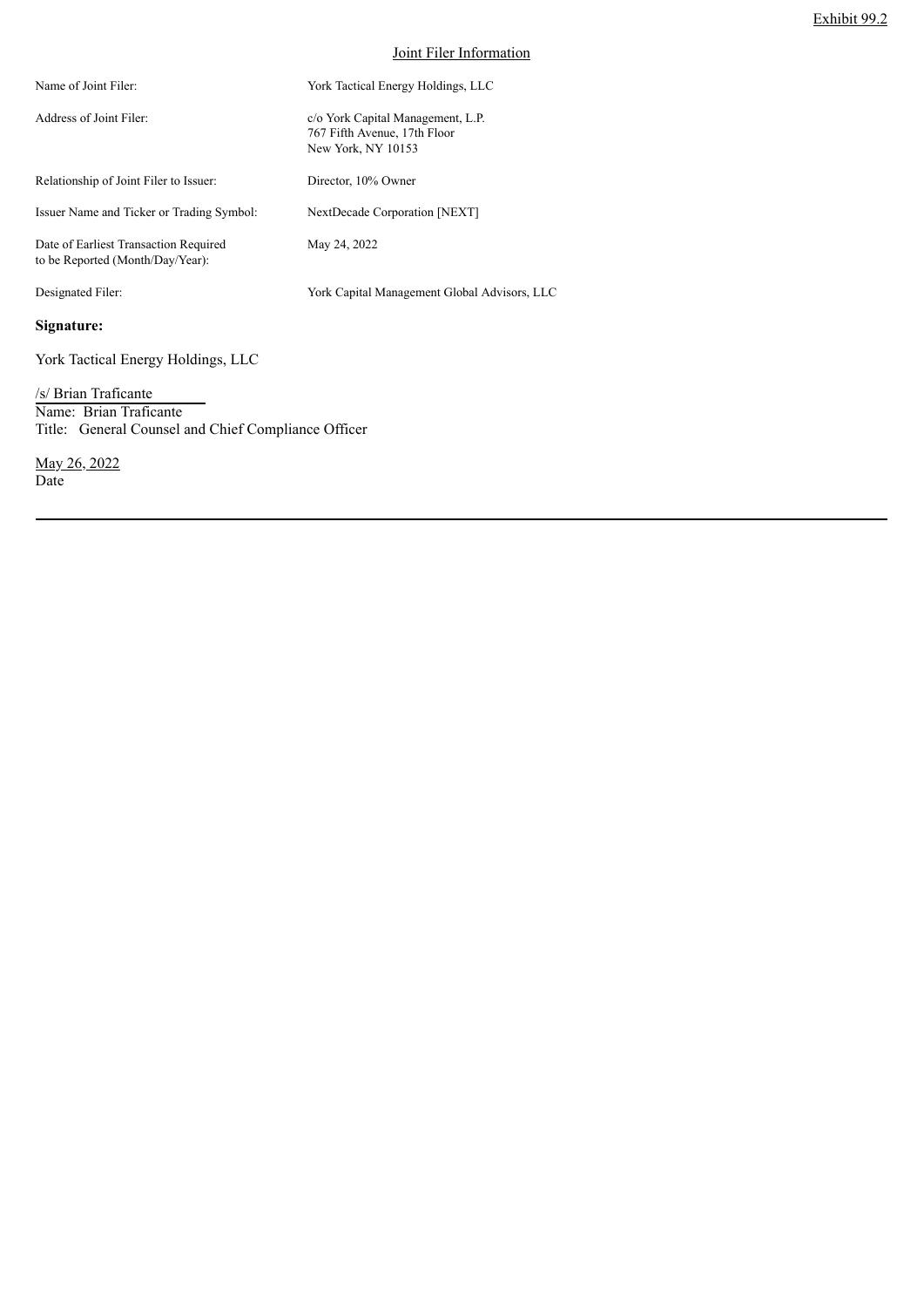| Name of Joint Filer:                                                      | York Tactical Energy Holdings, LLC                                                      |
|---------------------------------------------------------------------------|-----------------------------------------------------------------------------------------|
| Address of Joint Filer:                                                   | c/o York Capital Management, L.P.<br>767 Fifth Avenue, 17th Floor<br>New York, NY 10153 |
| Relationship of Joint Filer to Issuer:                                    | Director, 10% Owner                                                                     |
| Issuer Name and Ticker or Trading Symbol:                                 | NextDecade Corporation [NEXT]                                                           |
| Date of Earliest Transaction Required<br>to be Reported (Month/Day/Year): | May 24, 2022                                                                            |
| Designated Filer:                                                         | York Capital Management Global Advisors, LLC                                            |
| Signature:                                                                |                                                                                         |

York Tactical Energy Holdings, LLC

/s/ Brian Traficante Name: Brian Traficante Title: General Counsel and Chief Compliance Officer